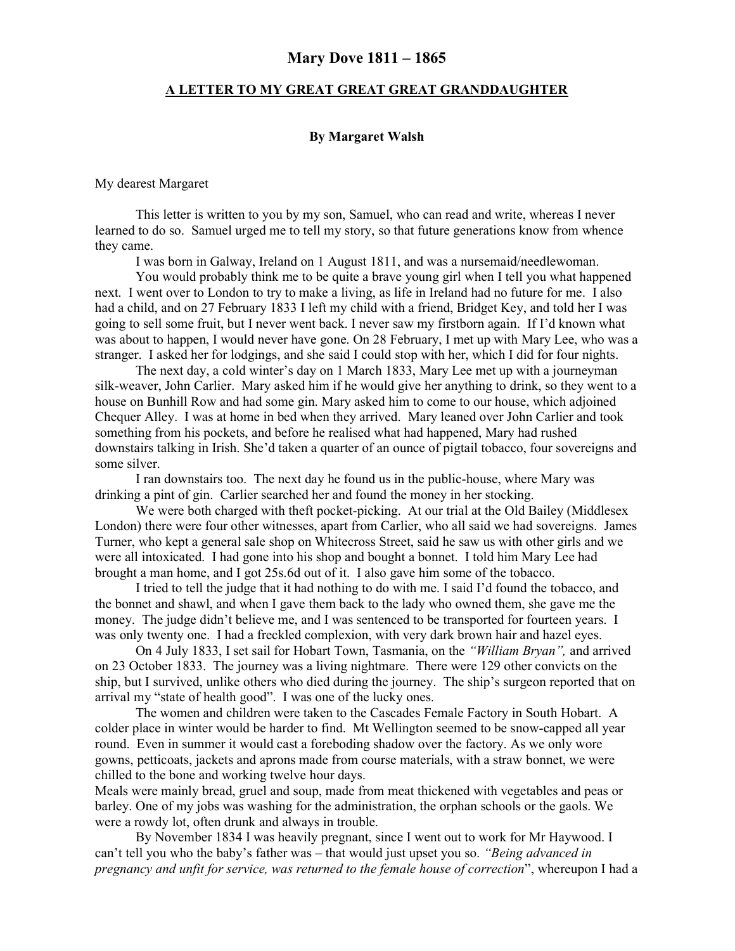## Mary Dove 1811 – 1865

## A LETTER TO MY GREAT GREAT GREAT GRANDDAUGHTER

## By Margaret Walsh

My dearest Margaret

This letter is written to you by my son, Samuel, who can read and write, whereas I never learned to do so. Samuel urged me to tell my story, so that future generations know from whence they came.

I was born in Galway, Ireland on 1 August 1811, and was a nursemaid/needlewoman.

You would probably think me to be quite a brave young girl when I tell you what happened next. I went over to London to try to make a living, as life in Ireland had no future for me. I also had a child, and on 27 February 1833 I left my child with a friend, Bridget Key, and told her I was going to sell some fruit, but I never went back. I never saw my firstborn again. If I'd known what was about to happen, I would never have gone. On 28 February, I met up with Mary Lee, who was a stranger. I asked her for lodgings, and she said I could stop with her, which I did for four nights.

 The next day, a cold winter's day on 1 March 1833, Mary Lee met up with a journeyman silk-weaver, John Carlier. Mary asked him if he would give her anything to drink, so they went to a house on Bunhill Row and had some gin. Mary asked him to come to our house, which adjoined Chequer Alley. I was at home in bed when they arrived. Mary leaned over John Carlier and took something from his pockets, and before he realised what had happened, Mary had rushed downstairs talking in Irish. She'd taken a quarter of an ounce of pigtail tobacco, four sovereigns and some silver.

I ran downstairs too. The next day he found us in the public-house, where Mary was drinking a pint of gin. Carlier searched her and found the money in her stocking.

We were both charged with theft pocket-picking. At our trial at the Old Bailey (Middlesex London) there were four other witnesses, apart from Carlier, who all said we had sovereigns. James Turner, who kept a general sale shop on Whitecross Street, said he saw us with other girls and we were all intoxicated. I had gone into his shop and bought a bonnet. I told him Mary Lee had brought a man home, and I got 25s.6d out of it. I also gave him some of the tobacco.

I tried to tell the judge that it had nothing to do with me. I said I'd found the tobacco, and the bonnet and shawl, and when I gave them back to the lady who owned them, she gave me the money. The judge didn't believe me, and I was sentenced to be transported for fourteen years. I was only twenty one. I had a freckled complexion, with very dark brown hair and hazel eyes.

On 4 July 1833, I set sail for Hobart Town, Tasmania, on the "William Bryan", and arrived on 23 October 1833. The journey was a living nightmare. There were 129 other convicts on the ship, but I survived, unlike others who died during the journey. The ship's surgeon reported that on arrival my "state of health good". I was one of the lucky ones.

The women and children were taken to the Cascades Female Factory in South Hobart. A colder place in winter would be harder to find. Mt Wellington seemed to be snow-capped all year round. Even in summer it would cast a foreboding shadow over the factory. As we only wore gowns, petticoats, jackets and aprons made from course materials, with a straw bonnet, we were chilled to the bone and working twelve hour days.

Meals were mainly bread, gruel and soup, made from meat thickened with vegetables and peas or barley. One of my jobs was washing for the administration, the orphan schools or the gaols. We were a rowdy lot, often drunk and always in trouble.

By November 1834 I was heavily pregnant, since I went out to work for Mr Haywood. I can't tell you who the baby's father was – that would just upset you so. "Being advanced in pregnancy and unfit for service, was returned to the female house of correction", whereupon I had a